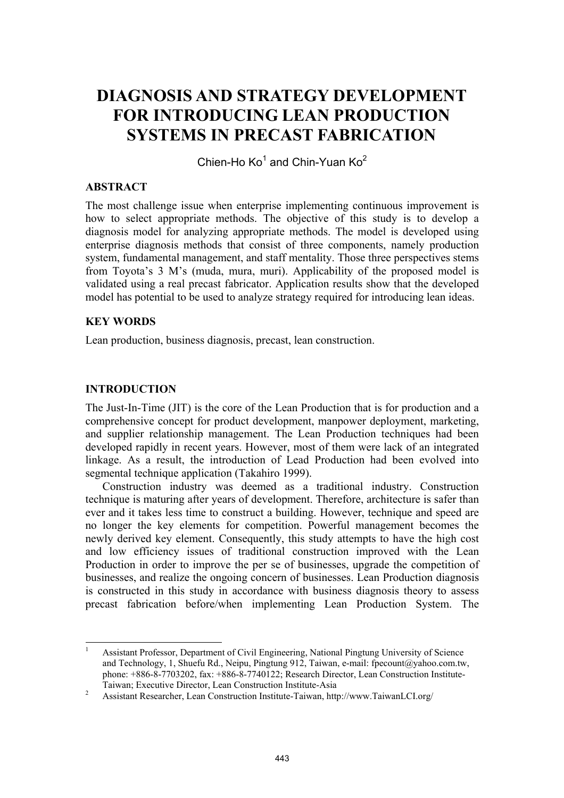# **DIAGNOSIS AND STRATEGY DEVELOPMENT FOR INTRODUCING LEAN PRODUCTION SYSTEMS IN PRECAST FABRICATION**

Chien-Ho Ko<sup>1</sup> and Chin-Yuan Ko<sup>2</sup>

#### **ABSTRACT**

The most challenge issue when enterprise implementing continuous improvement is how to select appropriate methods. The objective of this study is to develop a diagnosis model for analyzing appropriate methods. The model is developed using enterprise diagnosis methods that consist of three components, namely production system, fundamental management, and staff mentality. Those three perspectives stems from Toyota's 3 M's (muda, mura, muri). Applicability of the proposed model is validated using a real precast fabricator. Application results show that the developed model has potential to be used to analyze strategy required for introducing lean ideas.

#### **KEY WORDS**

Lean production, business diagnosis, precast, lean construction.

#### **INTRODUCTION**

The Just-In-Time (JIT) is the core of the Lean Production that is for production and a comprehensive concept for product development, manpower deployment, marketing, and supplier relationship management. The Lean Production techniques had been developed rapidly in recent years. However, most of them were lack of an integrated linkage. As a result, the introduction of Lead Production had been evolved into segmental technique application (Takahiro 1999).

Construction industry was deemed as a traditional industry. Construction technique is maturing after years of development. Therefore, architecture is safer than ever and it takes less time to construct a building. However, technique and speed are no longer the key elements for competition. Powerful management becomes the newly derived key element. Consequently, this study attempts to have the high cost and low efficiency issues of traditional construction improved with the Lean Production in order to improve the per se of businesses, upgrade the competition of businesses, and realize the ongoing concern of businesses. Lean Production diagnosis is constructed in this study in accordance with business diagnosis theory to assess precast fabrication before/when implementing Lean Production System. The

 1 Assistant Professor, Department of Civil Engineering, National Pingtung University of Science and Technology, 1, Shuefu Rd., Neipu, Pingtung 912, Taiwan, e-mail: fpecount@yahoo.com.tw, phone: +886-8-7703202, fax: +886-8-7740122; Research Director, Lean Construction Institute-Taiwan; Executive Director, Lean Construction Institute-Asia 2

Assistant Researcher, Lean Construction Institute-Taiwan, http://www.TaiwanLCI.org/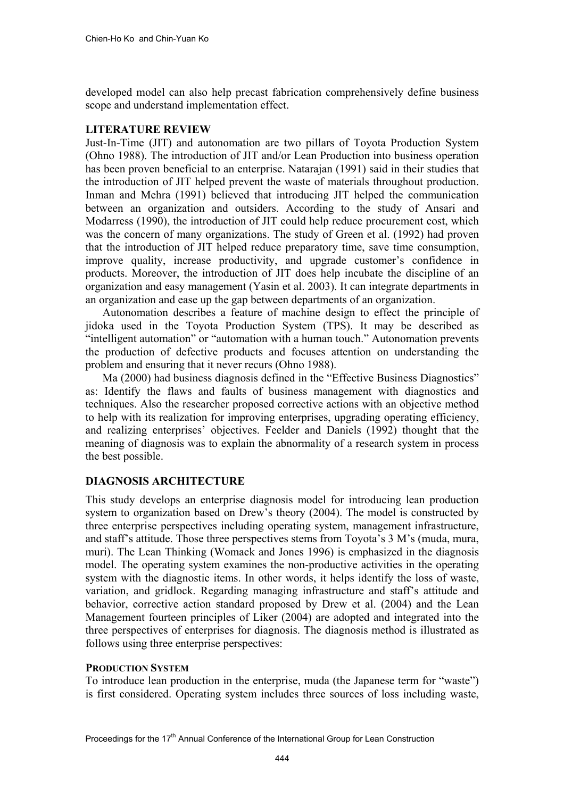developed model can also help precast fabrication comprehensively define business scope and understand implementation effect.

# **LITERATURE REVIEW**

Just-In-Time (JIT) and autonomation are two pillars of Toyota Production System (Ohno 1988). The introduction of JIT and/or Lean Production into business operation has been proven beneficial to an enterprise. Natarajan (1991) said in their studies that the introduction of JIT helped prevent the waste of materials throughout production. Inman and Mehra (1991) believed that introducing JIT helped the communication between an organization and outsiders. According to the study of Ansari and Modarress (1990), the introduction of JIT could help reduce procurement cost, which was the concern of many organizations. The study of Green et al. (1992) had proven that the introduction of JIT helped reduce preparatory time, save time consumption, improve quality, increase productivity, and upgrade customer's confidence in products. Moreover, the introduction of JIT does help incubate the discipline of an organization and easy management (Yasin et al. 2003). It can integrate departments in an organization and ease up the gap between departments of an organization.

Autonomation describes a feature of machine design to effect the principle of jidoka used in the Toyota Production System (TPS). It may be described as "intelligent automation" or "automation with a human touch." Autonomation prevents the production of defective products and focuses attention on understanding the problem and ensuring that it never recurs (Ohno 1988).

Ma (2000) had business diagnosis defined in the "Effective Business Diagnostics" as: Identify the flaws and faults of business management with diagnostics and techniques. Also the researcher proposed corrective actions with an objective method to help with its realization for improving enterprises, upgrading operating efficiency, and realizing enterprises' objectives. Feelder and Daniels (1992) thought that the meaning of diagnosis was to explain the abnormality of a research system in process the best possible.

# **DIAGNOSIS ARCHITECTURE**

This study develops an enterprise diagnosis model for introducing lean production system to organization based on Drew's theory (2004). The model is constructed by three enterprise perspectives including operating system, management infrastructure, and staff's attitude. Those three perspectives stems from Toyota's 3 M's (muda, mura, muri). The Lean Thinking (Womack and Jones 1996) is emphasized in the diagnosis model. The operating system examines the non-productive activities in the operating system with the diagnostic items. In other words, it helps identify the loss of waste, variation, and gridlock. Regarding managing infrastructure and staff's attitude and behavior, corrective action standard proposed by Drew et al. (2004) and the Lean Management fourteen principles of Liker (2004) are adopted and integrated into the three perspectives of enterprises for diagnosis. The diagnosis method is illustrated as follows using three enterprise perspectives:

# **PRODUCTION SYSTEM**

To introduce lean production in the enterprise, muda (the Japanese term for "waste") is first considered. Operating system includes three sources of loss including waste,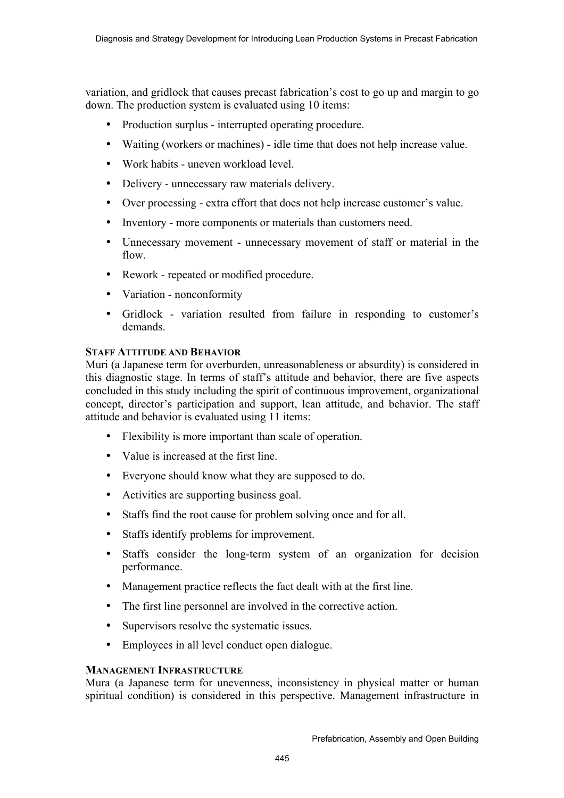variation, and gridlock that causes precast fabrication's cost to go up and margin to go down. The production system is evaluated using 10 items:

- Production surplus interrupted operating procedure.
- Waiting (workers or machines) idle time that does not help increase value.
- Work habits uneven workload level.
- Delivery unnecessary raw materials delivery.
- Over processing extra effort that does not help increase customer's value.
- Inventory more components or materials than customers need.
- Unnecessary movement unnecessary movement of staff or material in the flow.
- Rework repeated or modified procedure.
- Variation nonconformity
- Gridlock variation resulted from failure in responding to customer's demands.

## **STAFF ATTITUDE AND BEHAVIOR**

Muri (a Japanese term for overburden, unreasonableness or absurdity) is considered in this diagnostic stage. In terms of staff's attitude and behavior, there are five aspects concluded in this study including the spirit of continuous improvement, organizational concept, director's participation and support, lean attitude, and behavior. The staff attitude and behavior is evaluated using 11 items:

- Flexibility is more important than scale of operation.
- Value is increased at the first line.
- Everyone should know what they are supposed to do.
- Activities are supporting business goal.
- Staffs find the root cause for problem solving once and for all.
- Staffs identify problems for improvement.
- Staffs consider the long-term system of an organization for decision performance.
- Management practice reflects the fact dealt with at the first line.
- The first line personnel are involved in the corrective action.
- Supervisors resolve the systematic issues.
- Employees in all level conduct open dialogue.

## **MANAGEMENT INFRASTRUCTURE**

Mura (a Japanese term for unevenness, inconsistency in physical matter or human spiritual condition) is considered in this perspective. Management infrastructure in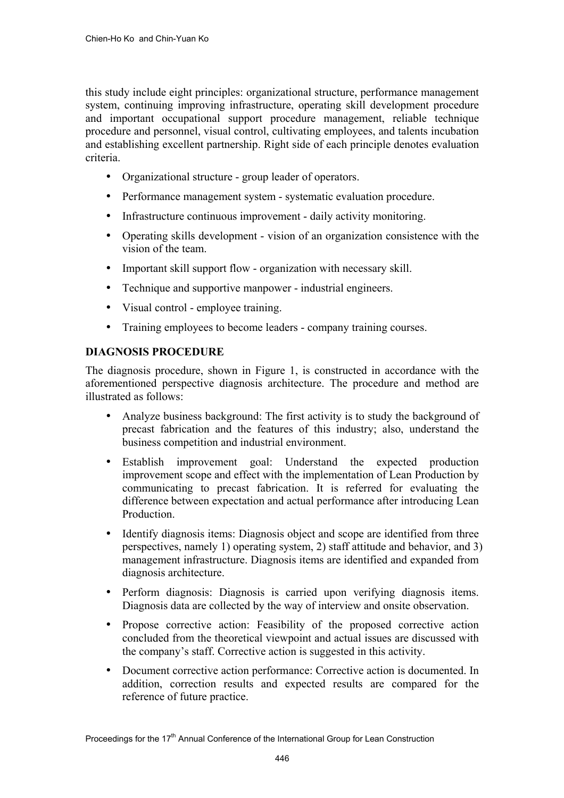this study include eight principles: organizational structure, performance management system, continuing improving infrastructure, operating skill development procedure and important occupational support procedure management, reliable technique procedure and personnel, visual control, cultivating employees, and talents incubation and establishing excellent partnership. Right side of each principle denotes evaluation criteria.

- Organizational structure group leader of operators.
- Performance management system systematic evaluation procedure.
- Infrastructure continuous improvement daily activity monitoring.
- Operating skills development vision of an organization consistence with the vision of the team.
- Important skill support flow organization with necessary skill.
- Technique and supportive manpower industrial engineers.
- Visual control employee training.
- Training employees to become leaders company training courses.

# **DIAGNOSIS PROCEDURE**

The diagnosis procedure, shown in Figure 1, is constructed in accordance with the aforementioned perspective diagnosis architecture. The procedure and method are illustrated as follows:

- Analyze business background: The first activity is to study the background of precast fabrication and the features of this industry; also, understand the business competition and industrial environment.
- Establish improvement goal: Understand the expected production improvement scope and effect with the implementation of Lean Production by communicating to precast fabrication. It is referred for evaluating the difference between expectation and actual performance after introducing Lean **Production**
- Identify diagnosis items: Diagnosis object and scope are identified from three perspectives, namely 1) operating system, 2) staff attitude and behavior, and 3) management infrastructure. Diagnosis items are identified and expanded from diagnosis architecture.
- Perform diagnosis: Diagnosis is carried upon verifying diagnosis items. Diagnosis data are collected by the way of interview and onsite observation.
- Propose corrective action: Feasibility of the proposed corrective action concluded from the theoretical viewpoint and actual issues are discussed with the company's staff. Corrective action is suggested in this activity.
- Document corrective action performance: Corrective action is documented. In addition, correction results and expected results are compared for the reference of future practice.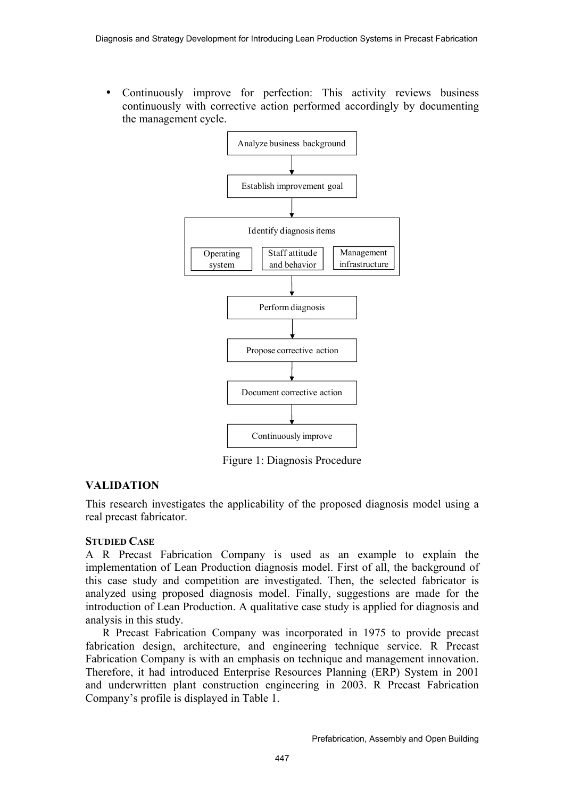• Continuously improve for perfection: This activity reviews business continuously with corrective action performed accordingly by documenting the management cycle.



Figure 1: Diagnosis Procedure

# **VALIDATION**

This research investigates the applicability of the proposed diagnosis model using a real precast fabricator.

## **STUDIED CASE**

A R Precast Fabrication Company is used as an example to explain the implementation of Lean Production diagnosis model. First of all, the background of this case study and competition are investigated. Then, the selected fabricator is analyzed using proposed diagnosis model. Finally, suggestions are made for the introduction of Lean Production. A qualitative case study is applied for diagnosis and analysis in this study.

R Precast Fabrication Company was incorporated in 1975 to provide precast fabrication design, architecture, and engineering technique service. R Precast Fabrication Company is with an emphasis on technique and management innovation. Therefore, it had introduced Enterprise Resources Planning (ERP) System in 2001 and underwritten plant construction engineering in 2003. R Precast Fabrication Company's profile is displayed in Table 1.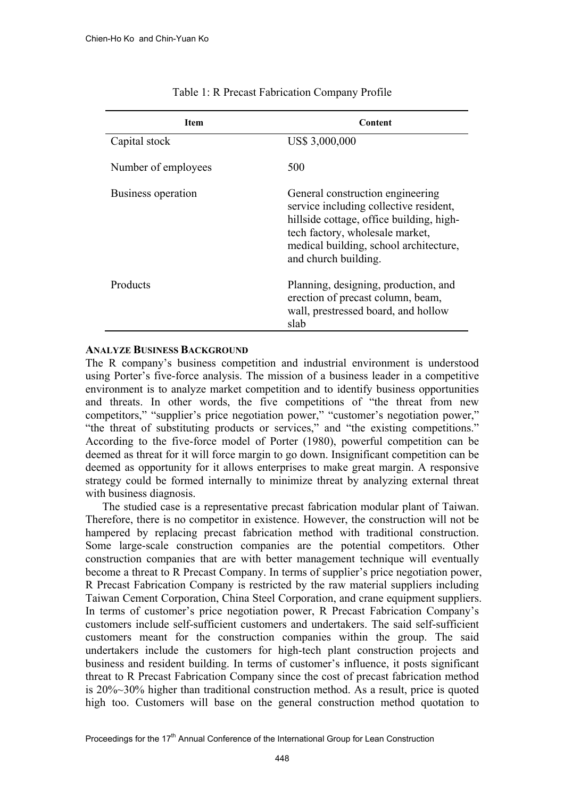| <b>Item</b>         | Content                                                                                                                                                                                                                     |
|---------------------|-----------------------------------------------------------------------------------------------------------------------------------------------------------------------------------------------------------------------------|
| Capital stock       | US\$ 3,000,000                                                                                                                                                                                                              |
| Number of employees | 500                                                                                                                                                                                                                         |
| Business operation  | General construction engineering<br>service including collective resident,<br>hillside cottage, office building, high-<br>tech factory, wholesale market,<br>medical building, school architecture,<br>and church building. |
| Products            | Planning, designing, production, and<br>erection of precast column, beam,<br>wall, prestressed board, and hollow<br>slab                                                                                                    |

#### Table 1: R Precast Fabrication Company Profile

#### **ANALYZE BUSINESS BACKGROUND**

The R company's business competition and industrial environment is understood using Porter's five-force analysis. The mission of a business leader in a competitive environment is to analyze market competition and to identify business opportunities and threats. In other words, the five competitions of "the threat from new competitors," "supplier's price negotiation power," "customer's negotiation power," "the threat of substituting products or services," and "the existing competitions." According to the five-force model of Porter (1980), powerful competition can be deemed as threat for it will force margin to go down. Insignificant competition can be deemed as opportunity for it allows enterprises to make great margin. A responsive strategy could be formed internally to minimize threat by analyzing external threat with business diagnosis.

The studied case is a representative precast fabrication modular plant of Taiwan. Therefore, there is no competitor in existence. However, the construction will not be hampered by replacing precast fabrication method with traditional construction. Some large-scale construction companies are the potential competitors. Other construction companies that are with better management technique will eventually become a threat to R Precast Company. In terms of supplier's price negotiation power, R Precast Fabrication Company is restricted by the raw material suppliers including Taiwan Cement Corporation, China Steel Corporation, and crane equipment suppliers. In terms of customer's price negotiation power, R Precast Fabrication Company's customers include self-sufficient customers and undertakers. The said self-sufficient customers meant for the construction companies within the group. The said undertakers include the customers for high-tech plant construction projects and business and resident building. In terms of customer's influence, it posts significant threat to R Precast Fabrication Company since the cost of precast fabrication method is 20%~30% higher than traditional construction method. As a result, price is quoted high too. Customers will base on the general construction method quotation to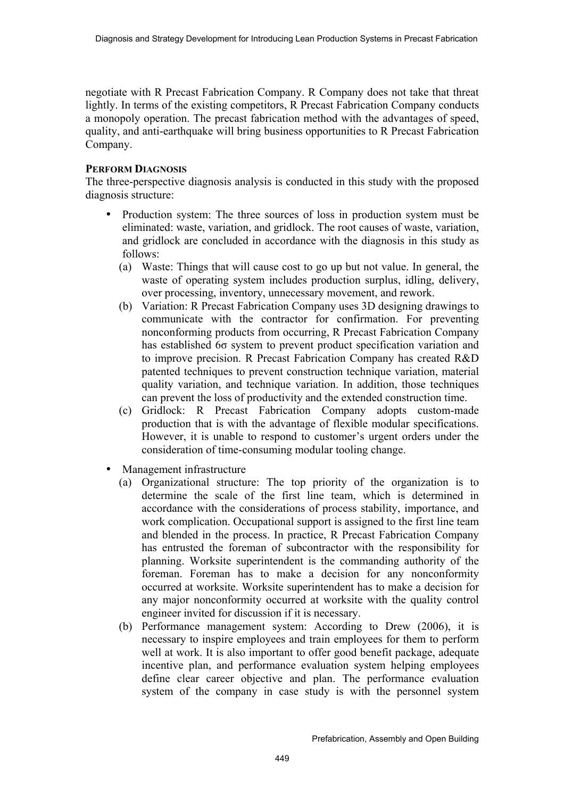negotiate with R Precast Fabrication Company. R Company does not take that threat lightly. In terms of the existing competitors, R Precast Fabrication Company conducts a monopoly operation. The precast fabrication method with the advantages of speed, quality, and anti-earthquake will bring business opportunities to R Precast Fabrication Company.

#### **PERFORM DIAGNOSIS**

The three-perspective diagnosis analysis is conducted in this study with the proposed diagnosis structure:

- Production system: The three sources of loss in production system must be eliminated: waste, variation, and gridlock. The root causes of waste, variation, and gridlock are concluded in accordance with the diagnosis in this study as follows:
	- (a) Waste: Things that will cause cost to go up but not value. In general, the waste of operating system includes production surplus, idling, delivery, over processing, inventory, unnecessary movement, and rework.
	- (b) Variation: R Precast Fabrication Company uses 3D designing drawings to communicate with the contractor for confirmation. For preventing nonconforming products from occurring, R Precast Fabrication Company has established 6σ system to prevent product specification variation and to improve precision. R Precast Fabrication Company has created R&D patented techniques to prevent construction technique variation, material quality variation, and technique variation. In addition, those techniques can prevent the loss of productivity and the extended construction time.
	- (c) Gridlock: R Precast Fabrication Company adopts custom-made production that is with the advantage of flexible modular specifications. However, it is unable to respond to customer's urgent orders under the consideration of time-consuming modular tooling change.
- Management infrastructure
	- (a) Organizational structure: The top priority of the organization is to determine the scale of the first line team, which is determined in accordance with the considerations of process stability, importance, and work complication. Occupational support is assigned to the first line team and blended in the process. In practice, R Precast Fabrication Company has entrusted the foreman of subcontractor with the responsibility for planning. Worksite superintendent is the commanding authority of the foreman. Foreman has to make a decision for any nonconformity occurred at worksite. Worksite superintendent has to make a decision for any major nonconformity occurred at worksite with the quality control engineer invited for discussion if it is necessary.
	- (b) Performance management system: According to Drew (2006), it is necessary to inspire employees and train employees for them to perform well at work. It is also important to offer good benefit package, adequate incentive plan, and performance evaluation system helping employees define clear career objective and plan. The performance evaluation system of the company in case study is with the personnel system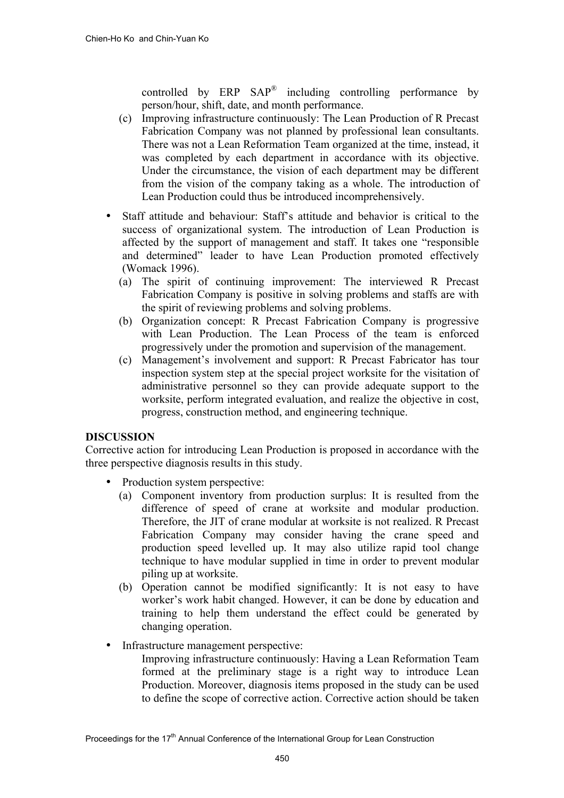controlled by  $ERP$   $SAP^{\circledR}$  including controlling performance by person/hour, shift, date, and month performance.

- (c) Improving infrastructure continuously: The Lean Production of R Precast Fabrication Company was not planned by professional lean consultants. There was not a Lean Reformation Team organized at the time, instead, it was completed by each department in accordance with its objective. Under the circumstance, the vision of each department may be different from the vision of the company taking as a whole. The introduction of Lean Production could thus be introduced incomprehensively.
- Staff attitude and behaviour: Staff's attitude and behavior is critical to the success of organizational system. The introduction of Lean Production is affected by the support of management and staff. It takes one "responsible and determined" leader to have Lean Production promoted effectively (Womack 1996).
	- (a) The spirit of continuing improvement: The interviewed R Precast Fabrication Company is positive in solving problems and staffs are with the spirit of reviewing problems and solving problems.
	- (b) Organization concept: R Precast Fabrication Company is progressive with Lean Production. The Lean Process of the team is enforced progressively under the promotion and supervision of the management.
	- (c) Management's involvement and support: R Precast Fabricator has tour inspection system step at the special project worksite for the visitation of administrative personnel so they can provide adequate support to the worksite, perform integrated evaluation, and realize the objective in cost, progress, construction method, and engineering technique.

## **DISCUSSION**

Corrective action for introducing Lean Production is proposed in accordance with the three perspective diagnosis results in this study.

- Production system perspective:
	- (a) Component inventory from production surplus: It is resulted from the difference of speed of crane at worksite and modular production. Therefore, the JIT of crane modular at worksite is not realized. R Precast Fabrication Company may consider having the crane speed and production speed levelled up. It may also utilize rapid tool change technique to have modular supplied in time in order to prevent modular piling up at worksite.
	- (b) Operation cannot be modified significantly: It is not easy to have worker's work habit changed. However, it can be done by education and training to help them understand the effect could be generated by changing operation.
- Infrastructure management perspective:
	- Improving infrastructure continuously: Having a Lean Reformation Team formed at the preliminary stage is a right way to introduce Lean Production. Moreover, diagnosis items proposed in the study can be used to define the scope of corrective action. Corrective action should be taken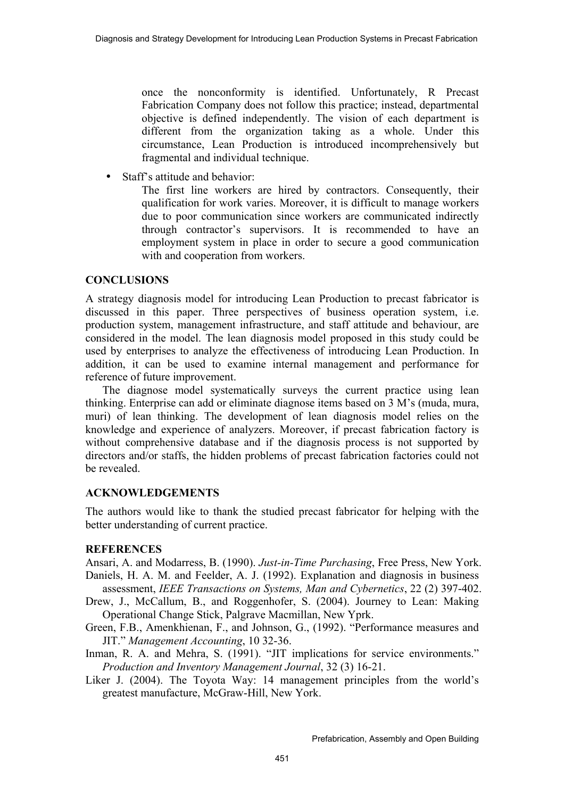once the nonconformity is identified. Unfortunately, R Precast Fabrication Company does not follow this practice; instead, departmental objective is defined independently. The vision of each department is different from the organization taking as a whole. Under this circumstance, Lean Production is introduced incomprehensively but fragmental and individual technique.

• Staff's attitude and behavior:

The first line workers are hired by contractors. Consequently, their qualification for work varies. Moreover, it is difficult to manage workers due to poor communication since workers are communicated indirectly through contractor's supervisors. It is recommended to have an employment system in place in order to secure a good communication with and cooperation from workers.

## **CONCLUSIONS**

A strategy diagnosis model for introducing Lean Production to precast fabricator is discussed in this paper. Three perspectives of business operation system, i.e. production system, management infrastructure, and staff attitude and behaviour, are considered in the model. The lean diagnosis model proposed in this study could be used by enterprises to analyze the effectiveness of introducing Lean Production. In addition, it can be used to examine internal management and performance for reference of future improvement.

The diagnose model systematically surveys the current practice using lean thinking. Enterprise can add or eliminate diagnose items based on 3 M's (muda, mura, muri) of lean thinking. The development of lean diagnosis model relies on the knowledge and experience of analyzers. Moreover, if precast fabrication factory is without comprehensive database and if the diagnosis process is not supported by directors and/or staffs, the hidden problems of precast fabrication factories could not be revealed.

# **ACKNOWLEDGEMENTS**

The authors would like to thank the studied precast fabricator for helping with the better understanding of current practice.

## **REFERENCES**

Ansari, A. and Modarress, B. (1990). *Just-in-Time Purchasing*, Free Press, New York. Daniels, H. A. M. and Feelder, A. J. (1992). Explanation and diagnosis in business

- assessment, *IEEE Transactions on Systems, Man and Cybernetics*, 22 (2) 397-402. Drew, J., McCallum, B., and Roggenhofer, S. (2004). Journey to Lean: Making Operational Change Stick, Palgrave Macmillan, New Yprk.
- Green, F.B., Amenkhienan, F., and Johnson, G., (1992). "Performance measures and JIT." *Management Accounting*, 10 32-36.
- Inman, R. A. and Mehra, S. (1991). "JIT implications for service environments." *Production and Inventory Management Journal*, 32 (3) 16-21.
- Liker J. (2004). The Toyota Way: 14 management principles from the world's greatest manufacture, McGraw-Hill, New York.